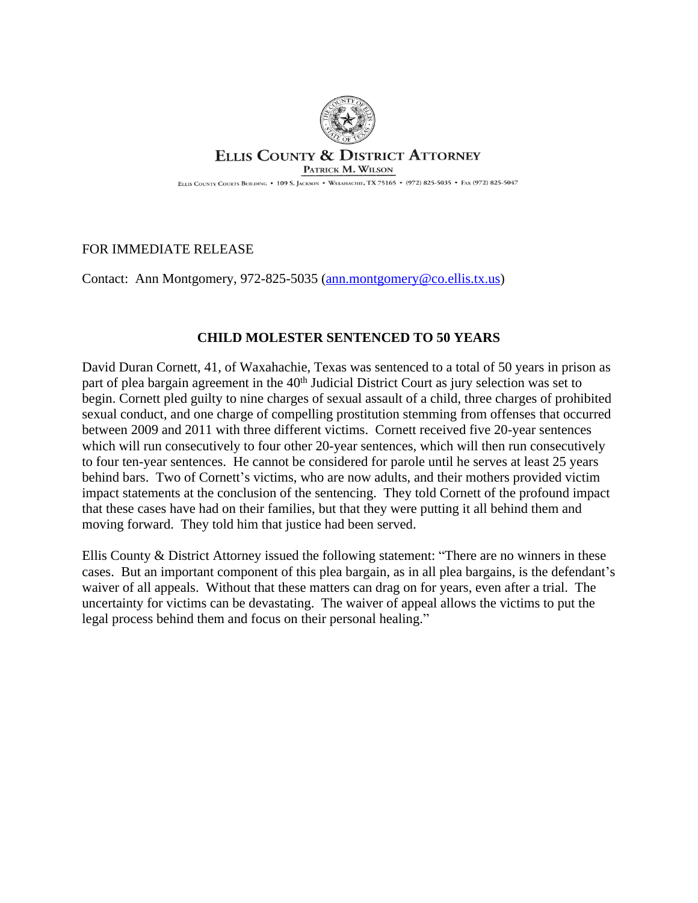

## **ELLIS COUNTY & DISTRICT ATTORNEY**

PATRICK M. WILSON

ELLIS COUNTY COURTS BUILDING . 109 S. JACKSON . WAXAHACHIE, TX 75165 . (972) 825-5035 . FAX (972) 825-5047

## FOR IMMEDIATE RELEASE

Contact: Ann Montgomery, 972-825-5035 ([ann.montgomery@co.ellis.tx.us](mailto:ann.montgomery@co.ellis.tx.us))

## **CHILD MOLESTER SENTENCED TO 50 YEARS**

David Duran Cornett, 41, of Waxahachie, Texas was sentenced to a total of 50 years in prison as part of plea bargain agreement in the 40<sup>th</sup> Judicial District Court as jury selection was set to begin. Cornett pled guilty to nine charges of sexual assault of a child, three charges of prohibited sexual conduct, and one charge of compelling prostitution stemming from offenses that occurred between 2009 and 2011 with three different victims. Cornett received five 20-year sentences which will run consecutively to four other 20-year sentences, which will then run consecutively to four ten-year sentences. He cannot be considered for parole until he serves at least 25 years behind bars. Two of Cornett's victims, who are now adults, and their mothers provided victim impact statements at the conclusion of the sentencing. They told Cornett of the profound impact that these cases have had on their families, but that they were putting it all behind them and moving forward. They told him that justice had been served.

Ellis County & District Attorney issued the following statement: "There are no winners in these cases. But an important component of this plea bargain, as in all plea bargains, is the defendant's waiver of all appeals. Without that these matters can drag on for years, even after a trial. The uncertainty for victims can be devastating. The waiver of appeal allows the victims to put the legal process behind them and focus on their personal healing."